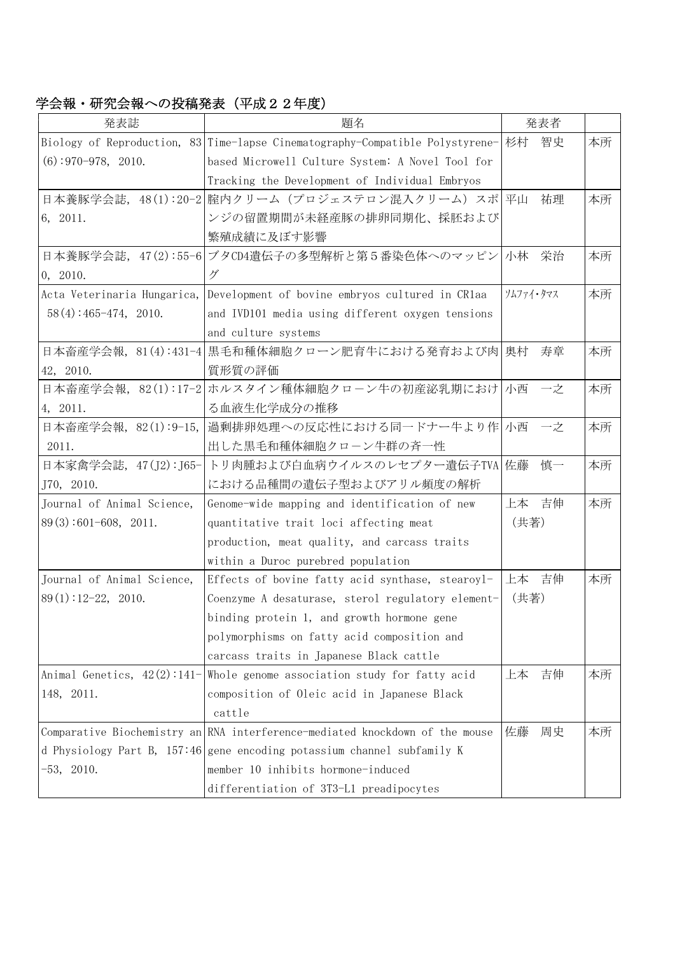学会報・研究会報への投稿発表(平成22年度)

| 発表誌                           | 題名                                                                               | 発表者       |    |
|-------------------------------|----------------------------------------------------------------------------------|-----------|----|
|                               | Biology of Reproduction, 83 Time-lapse Cinematography-Compatible Polystyrene- 杉村 | 智史        | 本所 |
| $(6)$ : 970-978, 2010.        | based Microwell Culture System: A Novel Tool for                                 |           |    |
|                               | Tracking the Development of Individual Embryos                                   |           |    |
|                               | 日本養豚学会誌, 48(1):20-2 腟内クリーム (プロジェステロン混入クリーム) スポ 平山                                | 祐理        | 本所 |
| 6, 2011.                      | ンジの留置期間が未経産豚の排卵同期化、採胚および                                                         |           |    |
|                               | 繁殖成績に及ぼす影響                                                                       |           |    |
|                               | 日本養豚学会誌, 47(2):55-6 ブタCD4遺伝子の多型解析と第5番染色体へのマッピン 小林                                | 栄治        | 本所 |
| 0, 2010.                      | グ                                                                                |           |    |
|                               | Acta Veterinaria Hungarica, Development of bovine embryos cultured in CR1aa      | ソムファイ・タマス | 本所 |
| $58(4): 465 - 474, 2010.$     | and IVD101 media using different oxygen tensions                                 |           |    |
|                               | and culture systems                                                              |           |    |
|                               | 日本畜産学会報, 81(4):431-4 黒毛和種体細胞クローン肥育牛における発育および肉 奥村                                 | 寿章        | 本所 |
| 42, 2010.                     | 質形質の評価                                                                           |           |    |
|                               | 日本畜産学会報, 82(1):17-2 ホルスタイン種体細胞クローン牛の初産泌乳期におけ 小西 一之                               |           | 本所 |
| 4, 2011.                      | る血液生化学成分の推移                                                                      |           |    |
| 日本畜産学会報, 82(1):9-15,          | 過剰排卵処理への反応性における同一ドナー牛より作 小西 一之                                                   |           | 本所 |
| 2011.                         | 出した黒毛和種体細胞クローン牛群の斉一性                                                             |           |    |
| 日本家禽学会誌,47(J2):J65-           | トリ肉腫および白血病ウイルスのレセプター遺伝子TVA 佐藤                                                    | 慎一        | 本所 |
| J70, 2010.                    | における品種間の遺伝子型およびアリル頻度の解析                                                          |           |    |
| Journal of Animal Science,    | Genome-wide mapping and identification of new                                    | 上本 吉伸     | 本所 |
| $89(3):601-608$ , 2011.       | quantitative trait loci affecting meat                                           | (共著)      |    |
|                               | production, meat quality, and carcass traits                                     |           |    |
|                               | within a Duroc purebred population                                               |           |    |
| Journal of Animal Science,    | Effects of bovine fatty acid synthase, stearoyl-                                 | 上本の吉伸     | 本所 |
| $89(1):12-22$ , 2010.         | Coenzyme A desaturase, sterol regulatory element-                                | (共著)      |    |
|                               | binding protein 1, and growth hormone gene                                       |           |    |
|                               | polymorphisms on fatty acid composition and                                      |           |    |
|                               | carcass traits in Japanese Black cattle                                          |           |    |
| Animal Genetics, $42(2):141-$ | Whole genome association study for fatty acid                                    | 上本<br>吉伸  | 本所 |
| 148, 2011.                    | composition of Oleic acid in Japanese Black                                      |           |    |
|                               | cattle                                                                           |           |    |
|                               | Comparative Biochemistry an RNA interference-mediated knockdown of the mouse     | 佐藤<br>周史  | 本所 |
|                               | d Physiology Part B, 157:46 gene encoding potassium channel subfamily K          |           |    |
| $-53, 2010.$                  | member 10 inhibits hormone-induced                                               |           |    |
|                               | differentiation of 3T3-L1 preadipocytes                                          |           |    |